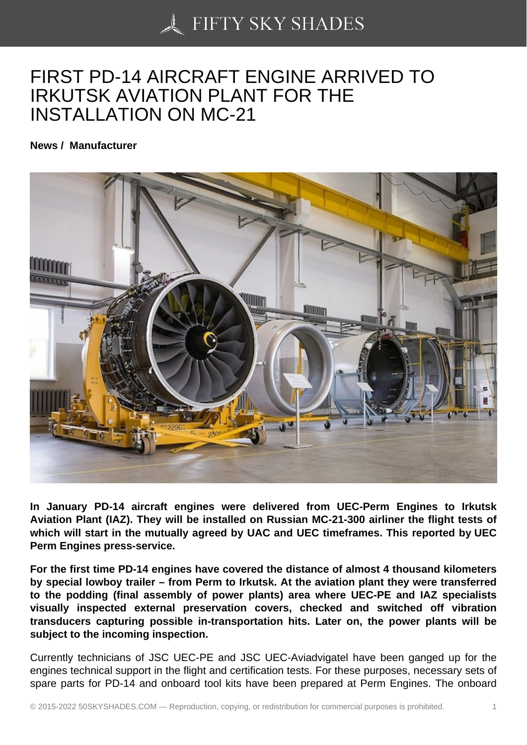## [FIRST PD-14 AIRCRA](https://50skyshades.com)FT ENGINE ARRIVED TO IRKUTSK AVIATION PLANT FOR THE INSTALLATION ON MC-21

News / Manufacturer

In January PD-14 aircraft engines were delivered from UEC-Perm Engines to Irkutsk Aviation Plant (IAZ). They will be installed on Russian MC-21-300 airliner the flight tests of which will start in the mutually agreed by UAC and UEC timeframes. This reported by UEC Perm Engines press-service.

For the first time PD-14 engines have covered the distance of almost 4 thousand kilometers by special lowboy trailer – from Perm to Irkutsk. At the aviation plant they were transferred to the podding (final assembly of power plants) area where UEC-PE and IAZ specialists visually inspected external preservation covers, checked and switched off vibration transducers capturing possible in-transportation hits. Later on, the power plants will be subject to the incoming inspection.

Currently technicians of JSC UEC-PE and JSC UEC-Aviadvigatel have been ganged up for the engines technical support in the flight and certification tests. For these purposes, necessary sets of spare parts for PD-14 and onboard tool kits have been prepared at Perm Engines. The onboard